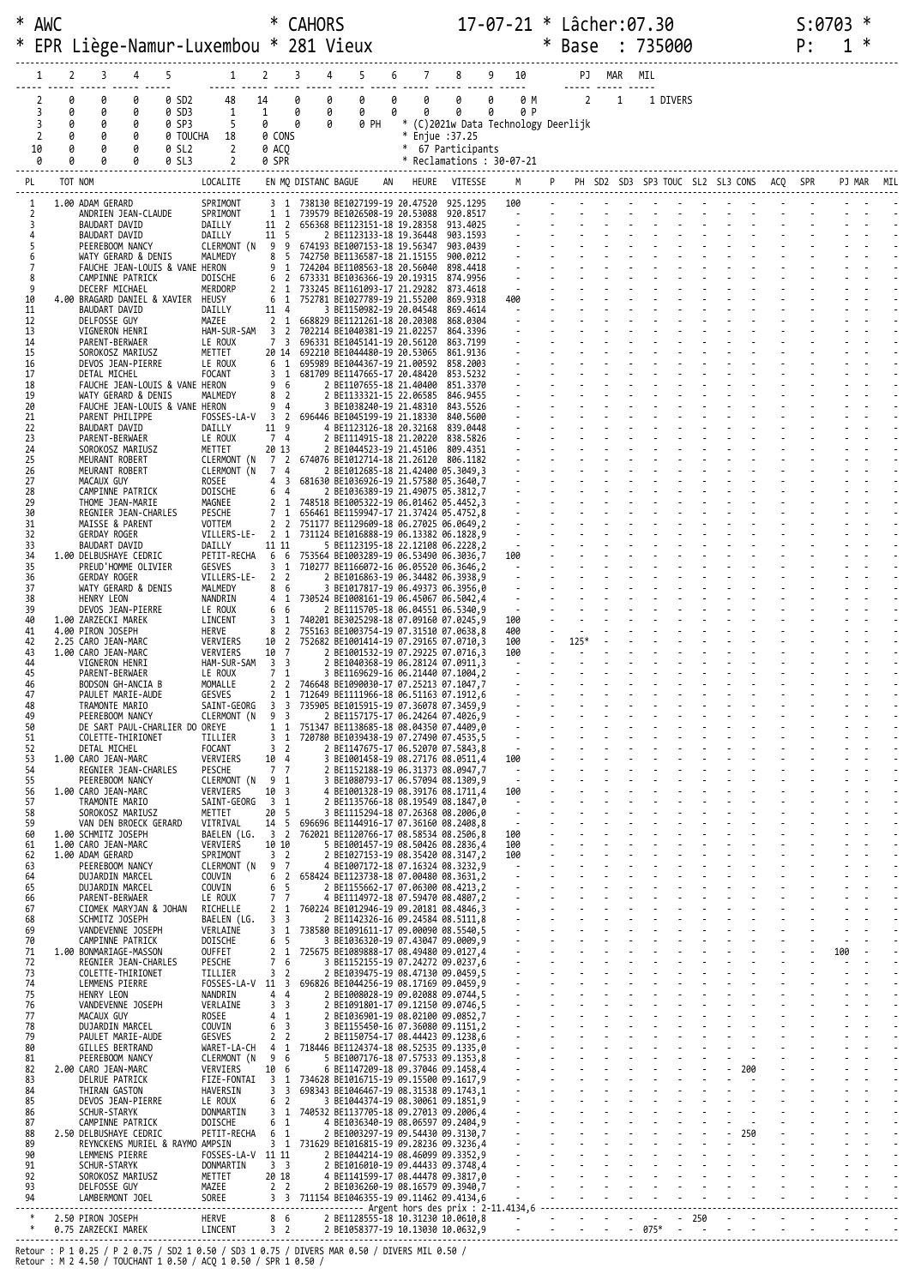| ∗        | AWC          |             |                                                       |             |                         |                                                                 |                | <b>CAHORS</b> |                                                                                              |                |                      | $17 - 07 - 21 *$ Lâcher:07.30                                            |        |        |            | Base : 735000 |          |  |  |    | S:0703 | ∗ |  |
|----------|--------------|-------------|-------------------------------------------------------|-------------|-------------------------|-----------------------------------------------------------------|----------------|---------------|----------------------------------------------------------------------------------------------|----------------|----------------------|--------------------------------------------------------------------------|--------|--------|------------|---------------|----------|--|--|----|--------|---|--|
| ж        |              |             |                                                       |             |                         |                                                                 |                |               | Liège-Namur-Luxembou * 281 Vieux                                                             |                |                      |                                                                          | $\ast$ |        |            |               |          |  |  | P: |        |   |  |
|          |              | 2           | 3                                                     |             |                         |                                                                 |                |               |                                                                                              |                |                      |                                                                          |        |        | PJ MAR MIL |               |          |  |  |    |        |   |  |
|          | 2<br>3       | 0<br>0<br>0 | 0<br>0<br>0                                           | 0<br>0<br>0 | 0 SD2<br>0 SD3<br>0 SP3 | 48<br>1<br>-5                                                   | 14             | 0             | 0<br>0<br>$\theta$<br>0 PH                                                                   | 0<br>0<br>0    | $\theta$<br>$\theta$ | 0<br>0 P<br>* (C)2021w Data Technology Deerlijk                          |        |        |            |               | 1 DIVERS |  |  |    |        |   |  |
|          | 2<br>10<br>0 | 0<br>0<br>ø | 0<br>0<br>0                                           | 0<br>0<br>0 | 0 SL2<br>0 SL3          | 0 TOUCHA 18<br>$\overline{2}$<br>$2^{\circ}$                    | 0 SPR          | 0 ACO         |                                                                                              | * Enjue :37.25 | * 67 Participants    | * Reclamations : 30-07-21                                                |        |        |            |               |          |  |  |    |        |   |  |
| PL       |              | TOT NOM     |                                                       |             |                         |                                                                 |                |               |                                                                                              |                |                      | M P PH SD2 SD3 SP3 TOUC SL2 SL3 CONS ACQ SPR                             |        |        |            |               |          |  |  |    | PJ MAR |   |  |
|          |              |             | 1.00 ADAM GERARD                                      |             |                         | SPRIMONT<br>SPRIMONT                                            |                |               | 3 1 738130 BE1027199-19 20.47520 925.1295<br>1 1 739579 BE1026508-19 20.53088 920.8517       |                |                      | 100<br>$\mathcal{L}(\mathcal{L})$ , and $\mathcal{L}(\mathcal{L})$ , and |        |        |            |               |          |  |  |    |        |   |  |
| 2<br>З   |              |             | ANDRIEN JEAN-CLAUDE<br>BAUDART DAVID<br>BAUDART DAVID |             |                         | DAILLY<br>DAILLY                                                | 11 5           |               | 11 2 656368 BE1123151-18 19.28358<br>2 BE1123133-18 19.36448                                 |                | 913.4025<br>903.1593 |                                                                          |        |        |            |               |          |  |  |    |        |   |  |
| 5<br>6   |              |             | PEEREBOOM NANCY<br>WATY GERARD & DENIS                |             |                         | MALMEDY                                                         |                |               | CLERMONT (N 9 9 674193 BE1007153-18 19.56347<br>8 5 742750 BE1136587-18 21.15155             |                | 903.0439<br>900.0212 |                                                                          |        |        |            |               |          |  |  |    |        |   |  |
| 7<br>8   |              |             | FAUCHE JEAN-LOUIS & VANE HERON<br>CAMPINNE PATRICK    |             |                         | DOISCHE                                                         |                |               | 9 1 724204 BE1108563-18 20.56040<br>6 2 673331 BE1036366-19 20.19315                         |                | 898.4418<br>874.9956 |                                                                          |        |        |            |               |          |  |  |    |        |   |  |
| 9<br>10  |              |             | DECERF MICHAEL<br>4.00 BRAGARD DANIEL & XAVIER HEUSY  |             |                         | MERDORP                                                         |                |               | 2 1 733245 BE1161093-17 21.29282<br>6 1 752781 BE1027789-19 21.55200                         |                | 873,4618<br>869.9318 | $\sim 10^{-10}$ m $^{-1}$<br>400                                         |        |        |            |               |          |  |  |    |        |   |  |
| 11<br>12 |              |             | BAUDART DAVID<br>DELFOSSE GUY                         |             |                         | DAILLY<br>MAZEE                                                 | 11 4           |               | 3 BE1150982-19 20.04548<br>2 1 668829 BE1121261-18 20.20308                                  |                | 869.4614<br>868.0304 | <b>Contract Contract</b>                                                 |        |        |            |               |          |  |  |    |        |   |  |
| 13<br>14 |              |             | VIGNERON HENRI<br>PARENT-BERWAER                      |             |                         | LE ROUX                                                         |                |               | HAM-SUR-SAM 3 2 702214 BE1040381-19 21.02257<br>7 3 696331 BE1045141-19 20.56120             |                | 864.3396<br>863.7199 |                                                                          |        |        |            |               |          |  |  |    |        |   |  |
| 15<br>16 |              |             | SOROKOSZ MARIUSZ<br>DEVOS JEAN-PIERRE                 |             |                         | METTET<br>LE ROUX                                               |                |               | 20 14 692210 BE1044480-19 20.53065<br>6 1 695989 BE1044367-19 21.00592                       |                | 861,9136<br>858.2003 |                                                                          |        |        |            |               |          |  |  |    |        |   |  |
| 17<br>18 |              |             | DETAL MICHEL<br>FAUCHE JEAN-LOUIS & VANE HERON        |             |                         | FOCANT                                                          | 9 6            |               | 3 1 681709 BE1147665-17 20.48420<br>2 BE1107655-18 21.40400                                  |                | 853.5232<br>851.3370 |                                                                          |        |        |            |               |          |  |  |    |        |   |  |
| 19<br>20 |              |             | WATY GERARD & DENIS<br>FAUCHE JEAN-LOUIS & VANE HERON |             |                         | MALMEDY                                                         | 8 2            | $9\quad 4$    | 2 BE1133321-15 22.06585<br>3 BE1038240-19 21.48310                                           |                | 846.9455<br>843.5526 |                                                                          |        |        |            |               |          |  |  |    |        |   |  |
| 21<br>22 |              |             | PARENT PHILIPPE<br>BAUDART DAVID                      |             |                         | DAILLY                                                          |                |               | FOSSES-LA-V 3 2 696446 BE1045199-19 21.18330<br>11 9 4 BE1123126-18 20.32168                 |                | 840.5600<br>839.0448 |                                                                          |        |        |            |               |          |  |  |    |        |   |  |
| 23<br>24 |              |             | PARENT-BERWAER<br>SOROKOSZ MARIUSZ                    |             |                         | LE ROUX<br>METTET                                               | 7 4<br>20 13   |               | 2 BE1114915-18 21.20220<br>2 BE1044523-19 21.45106                                           |                | 838.5826<br>809.4351 |                                                                          |        |        |            |               |          |  |  |    |        |   |  |
| 25<br>26 |              |             | MEURANT ROBERT<br>MEURANT ROBERT                      |             |                         | CLERMONT (N                                                     |                | 7 4           | CLERMONT (N 7 2 674076 BE1012714-18 21.26120 806.1182<br>2 BE1012685-18 21.42400 05.3049,3   |                |                      |                                                                          |        |        |            |               |          |  |  |    |        |   |  |
| 27<br>28 |              |             | MACAUX GUY<br>CAMPINNE PATRICK                        |             |                         | ROSEE<br>DOISCHE                                                | 6 4            |               | 4 3 681630 BE1036926-19 21.57580 05.3640,7<br>2 BE1036389-19 21.49075 05.3812,7              |                |                      |                                                                          |        |        |            |               |          |  |  |    |        |   |  |
| 29<br>30 |              |             | THOME JEAN-MARIE<br>REGNIER JEAN-CHARLES              |             |                         | MAGNEE<br>PESCHE                                                |                |               | 2 1 748518 BE1005322-19 06.01462 05.4452,3<br>7 1 656461 BE1159947-17 21.37424 05.4752,8     |                |                      |                                                                          |        |        |            |               |          |  |  |    |        |   |  |
| 31<br>32 |              |             | MAISSE & PARENT<br><b>GERDAY ROGER</b>                |             |                         | VOTTEM<br>VILLERS-LE-                                           |                |               | 2 2 751177 BE1129609-18 06.27025 06.0649,2<br>2 1 731124 BE1016888-19 06.13382 06.1828,9     |                |                      |                                                                          |        |        |            |               |          |  |  |    |        |   |  |
| 33<br>34 |              |             | BAUDART DAVID<br>1.00 DELBUSHAYE CEDRIC               |             |                         | DAILLY                                                          | 11 11          |               | 5 BE1123195-18 22.12108 06.2228,2<br>PETIT-RECHA 6 6 753564 BE1003289-19 06.53490 06.3036,7  |                |                      | 100                                                                      |        |        |            |               |          |  |  |    |        |   |  |
| 35<br>36 |              |             | PREUD'HOMME OLIVIER<br><b>GERDAY ROGER</b>            |             |                         | GESVES<br>VILLERS-LE-                                           | 2 <sub>2</sub> |               | 3 1 710277 BE1166072-16 06.05520 06.3646,2<br>2 BE1016863-19 06.34482 06.3938,9              |                |                      | $\sim 10^{-10}$ m $^{-1}$                                                |        |        |            |               |          |  |  |    |        |   |  |
| 37<br>38 |              |             | WATY GERARD & DENIS<br>HENRY LEON                     |             |                         | MALMEDY<br>NANDRIN                                              | 8 6            |               | 3 BE1017817-19 06.49373 06.3956,0<br>4 1 730524 BE1008161-19 06.45067 06.5042,4              |                |                      |                                                                          |        |        |            |               |          |  |  |    |        |   |  |
| 39<br>40 |              |             | DEVOS JEAN-PIERRE<br>1.00 ZARZECKI MAREK              |             |                         | LE ROUX<br>LINCENT                                              | 6 6            |               | 2 BE1115705-18 06.04551 06.5340,9<br>3 1 740201 BE3025298-18 07.09160 07.0245,9              |                |                      | $\frac{1}{100}$                                                          |        |        |            |               |          |  |  |    |        |   |  |
| 41<br>42 |              |             | 4.00 PIRON JOSEPH<br>2.25 CARO JEAN-MARC              |             |                         | HERVE<br>VERVIERS                                               |                |               | 8 2 755163 BE1003754-19 07.31510 07.0638,8<br>10 2 752682 BE1001414-19 07.29165 07.0710,3    |                |                      | 400<br>100                                                               |        | $125*$ |            |               |          |  |  |    |        |   |  |
| 43<br>44 |              |             | 1.00 CARO JEAN-MARC<br>VIGNERON HENRI                 |             |                         | VERVIERS<br>HAM-SUR-SAM 3 3                                     | 10 7           |               | 2 BE1001532-19 07.29225 07.0716,3<br>2 BE1040368-19 06.28124 07.0911,3                       |                |                      | 100                                                                      |        |        |            |               |          |  |  |    |        |   |  |
| 45<br>46 |              |             | PARENT-BERWAER<br>BODSON GH-ANCIA B                   |             |                         | LE ROUX<br>MOMALLE                                              | 7 <sub>1</sub> |               | 3 BE1169629-16 06.21440 07.1004,2<br>2 2 746648 BE1090030-17 07.25213 07.1047,7              |                |                      |                                                                          |        |        |            |               |          |  |  |    |        |   |  |
|          |              |             |                                                       |             |                         |                                                                 |                |               |                                                                                              |                |                      |                                                                          |        |        |            |               |          |  |  |    |        |   |  |
|          |              |             |                                                       |             |                         |                                                                 |                |               |                                                                                              |                |                      |                                                                          |        |        |            |               |          |  |  |    |        |   |  |
|          |              |             |                                                       |             |                         |                                                                 |                |               |                                                                                              |                |                      |                                                                          |        |        |            |               |          |  |  |    |        |   |  |
|          |              |             |                                                       |             |                         |                                                                 |                |               |                                                                                              |                |                      |                                                                          |        |        |            |               |          |  |  |    |        |   |  |
|          |              |             |                                                       |             |                         |                                                                 |                |               |                                                                                              |                |                      |                                                                          |        |        |            |               |          |  |  |    |        |   |  |
|          |              |             |                                                       |             |                         |                                                                 |                |               |                                                                                              |                |                      |                                                                          |        |        |            |               |          |  |  |    |        |   |  |
|          |              |             |                                                       |             |                         |                                                                 |                |               |                                                                                              |                |                      |                                                                          |        |        |            |               |          |  |  |    |        |   |  |
|          |              |             |                                                       |             |                         |                                                                 |                |               |                                                                                              |                |                      |                                                                          |        |        |            |               |          |  |  |    |        |   |  |
|          |              |             |                                                       |             |                         |                                                                 |                |               |                                                                                              |                |                      |                                                                          |        |        |            |               |          |  |  |    |        |   |  |
|          |              |             |                                                       |             |                         |                                                                 |                |               |                                                                                              |                |                      |                                                                          |        |        |            |               |          |  |  |    |        |   |  |
|          |              |             |                                                       |             |                         |                                                                 |                |               |                                                                                              |                |                      |                                                                          |        |        |            |               |          |  |  |    |        |   |  |
|          |              |             |                                                       |             |                         |                                                                 |                |               |                                                                                              |                |                      |                                                                          |        |        |            |               |          |  |  |    |        |   |  |
|          |              |             |                                                       |             |                         |                                                                 |                |               |                                                                                              |                |                      |                                                                          |        |        |            |               |          |  |  |    |        |   |  |
|          |              |             |                                                       |             |                         |                                                                 |                |               |                                                                                              |                |                      |                                                                          |        |        |            |               |          |  |  |    |        |   |  |
|          |              |             |                                                       |             |                         |                                                                 |                |               |                                                                                              |                |                      |                                                                          |        |        |            |               |          |  |  |    |        |   |  |
|          |              |             |                                                       |             |                         |                                                                 |                |               |                                                                                              |                |                      |                                                                          |        |        |            |               |          |  |  |    |        |   |  |
|          |              |             |                                                       |             |                         |                                                                 |                |               |                                                                                              |                |                      |                                                                          |        |        |            |               |          |  |  |    |        |   |  |
|          |              |             |                                                       |             |                         |                                                                 |                |               |                                                                                              |                |                      |                                                                          |        |        |            |               |          |  |  |    |        |   |  |
|          |              |             |                                                       |             |                         |                                                                 |                |               |                                                                                              |                |                      |                                                                          |        |        |            |               |          |  |  |    |        |   |  |
|          |              |             |                                                       |             |                         |                                                                 |                |               |                                                                                              |                |                      |                                                                          |        |        |            |               |          |  |  |    |        |   |  |
|          |              |             |                                                       |             |                         |                                                                 |                |               |                                                                                              |                |                      |                                                                          |        |        |            |               |          |  |  |    |        |   |  |
|          |              |             |                                                       |             |                         |                                                                 |                |               |                                                                                              |                |                      |                                                                          |        |        |            |               |          |  |  |    |        |   |  |
|          |              |             |                                                       |             |                         |                                                                 |                |               |                                                                                              |                |                      |                                                                          |        |        |            |               |          |  |  |    |        |   |  |
|          |              |             |                                                       |             |                         |                                                                 |                |               |                                                                                              |                |                      |                                                                          |        |        |            |               |          |  |  |    |        |   |  |
|          |              |             |                                                       |             |                         |                                                                 |                |               |                                                                                              |                |                      |                                                                          |        |        |            |               |          |  |  |    |        |   |  |
|          |              |             |                                                       |             |                         |                                                                 |                |               |                                                                                              |                |                      |                                                                          |        |        |            |               |          |  |  |    |        |   |  |
|          |              |             |                                                       |             |                         | Retour : M 2 4.50 / TOUCHANT 1 0.50 / ACQ 1 0.50 / SPR 1 0.50 / |                |               | Retour : P 1 0.25 / P 2 0.75 / SD2 1 0.50 / SD3 1 0.75 / DIVERS MAR 0.50 / DIVERS MIL 0.50 / |                |                      |                                                                          |        |        |            |               |          |  |  |    |        |   |  |